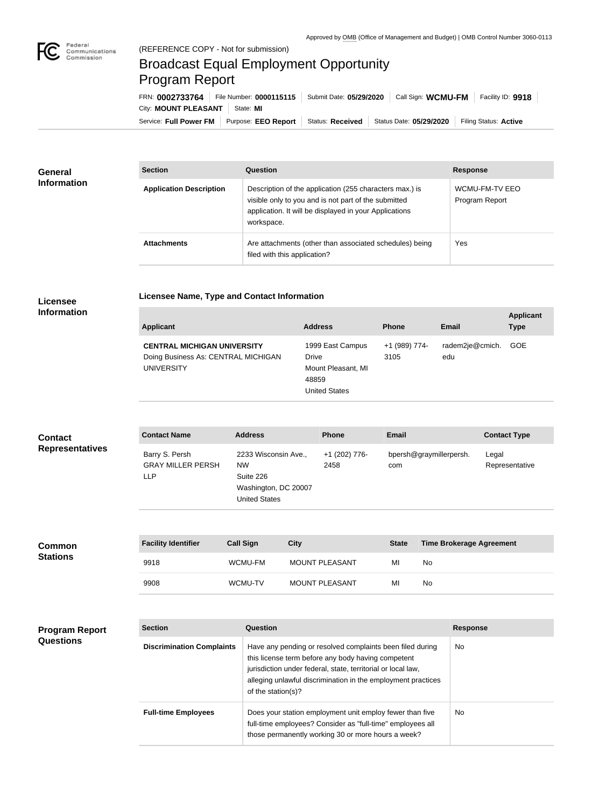

## (REFERENCE COPY - Not for submission) Broadcast Equal Employment Opportunity Program Report

**Licensee Name, Type and Contact Information**

Service: Full Power FM Purpose: EEO Report | Status: Received | Status Date: 05/29/2020 | Filing Status: Active City: **MOUNT PLEASANT** State: MI FRN: **0002733764** File Number: **0000115115** Submit Date: **05/29/2020** Call Sign: **WCMU-FM** Facility ID: **9918**

| <b>General</b><br><b>Information</b> | <b>Section</b>                 | <b>Question</b>                                                                                                                                                                         | <b>Response</b>                  |
|--------------------------------------|--------------------------------|-----------------------------------------------------------------------------------------------------------------------------------------------------------------------------------------|----------------------------------|
|                                      | <b>Application Description</b> | Description of the application (255 characters max.) is<br>visible only to you and is not part of the submitted<br>application. It will be displayed in your Applications<br>workspace. | WCMU-FM-TV EEO<br>Program Report |
|                                      | <b>Attachments</b>             | Are attachments (other than associated schedules) being<br>filed with this application?                                                                                                 | <b>Yes</b>                       |

## **Licensee Information**

| <b>Applicant</b>                                                                               | <b>Address</b>                                                                   | <b>Phone</b>          | Email                  | <b>Applicant</b><br><b>Type</b> |
|------------------------------------------------------------------------------------------------|----------------------------------------------------------------------------------|-----------------------|------------------------|---------------------------------|
| <b>CENTRAL MICHIGAN UNIVERSITY</b><br>Doing Business As: CENTRAL MICHIGAN<br><b>UNIVERSITY</b> | 1999 East Campus<br>Drive<br>Mount Pleasant, MI<br>48859<br><b>United States</b> | +1 (989) 774-<br>3105 | radem2je@cmich.<br>edu | <b>GOE</b>                      |

| <b>Contact</b>         | <b>Contact Name</b>                                | <b>Address</b>                                                                                 | <b>Phone</b>          | <b>Email</b>                   | <b>Contact Type</b>     |
|------------------------|----------------------------------------------------|------------------------------------------------------------------------------------------------|-----------------------|--------------------------------|-------------------------|
| <b>Representatives</b> | Barry S. Persh<br><b>GRAY MILLER PERSH</b><br>LLP. | 2233 Wisconsin Ave.,<br><b>NW</b><br>Suite 226<br>Washington, DC 20007<br><b>United States</b> | +1 (202) 776-<br>2458 | bpersh@graymillerpersh.<br>com | Legal<br>Representative |
|                        |                                                    |                                                                                                |                       |                                |                         |

| <b>Common</b><br><b>Stations</b> | <b>Facility Identifier</b> | <b>Call Sign</b> | <b>City</b>    | <b>State</b> | <b>Time Brokerage Agreement</b> |
|----------------------------------|----------------------------|------------------|----------------|--------------|---------------------------------|
|                                  | 9918                       | WCMU-FM          | MOUNT PLEASANT | MI           | No                              |
|                                  | 9908                       | <b>WCMU-TV</b>   | MOUNT PLEASANT | MI           | No                              |

| <b>Program Report</b><br><b>Questions</b> | <b>Section</b>                   | Question                                                                                                                                                                                                                                                              | <b>Response</b> |
|-------------------------------------------|----------------------------------|-----------------------------------------------------------------------------------------------------------------------------------------------------------------------------------------------------------------------------------------------------------------------|-----------------|
|                                           | <b>Discrimination Complaints</b> | Have any pending or resolved complaints been filed during<br>this license term before any body having competent<br>jurisdiction under federal, state, territorial or local law,<br>alleging unlawful discrimination in the employment practices<br>of the station(s)? | No.             |
|                                           | <b>Full-time Employees</b>       | Does your station employment unit employ fewer than five<br>full-time employees? Consider as "full-time" employees all<br>those permanently working 30 or more hours a week?                                                                                          | No.             |